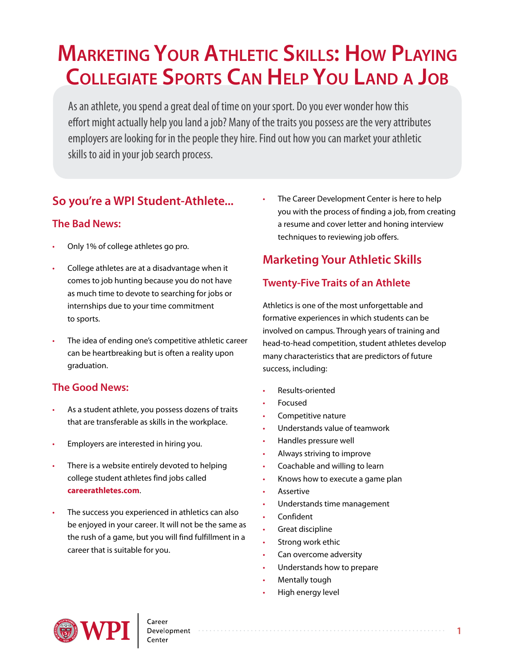# **Marketing Your Athletic Skills: How Playing Collegiate Sports Can Help You Land a Job**

As an athlete, you spend a great deal of time on your sport. Do you ever wonder how this effort might actually help you land a job? Many of the traits you possess are the very attributes employers are looking for in the people they hire. Find out how you can market your athletic skills to aid in your job search process.

# **So you're a WPI Student-Athlete...**

### **The Bad News:**

- Only 1% of college athletes go pro.
- College athletes are at a disadvantage when it comes to job hunting because you do not have as much time to devote to searching for jobs or internships due to your time commitment to sports.
- The idea of ending one's competitive athletic career can be heartbreaking but is often a reality upon graduation.

# **The Good News:**

- As a student athlete, you possess dozens of traits that are transferable as skills in the workplace.
- Employers are interested in hiring you.
- There is a website entirely devoted to helping college student athletes find jobs called **[careerathletes.com](https://www.athletenetwork.com/index.php?frm=CA)**.
- The success you experienced in athletics can also be enjoyed in your career. It will not be the same as the rush of a game, but you will find fulfillment in a career that is suitable for you.

The Career Development Center is here to help you with the process of finding a job, from creating a resume and cover letter and honing interview techniques to reviewing job offers.

# **Marketing Your Athletic Skills**

# **Twenty-Five Traits of an Athlete**

Athletics is one of the most unforgettable and formative experiences in which students can be involved on campus. Through years of training and head-to-head competition, student athletes develop many characteristics that are predictors of future success, including:

- Results-oriented
- **Focused**
- Competitive nature
- Understands value of teamwork
- Handles pressure well
- Always striving to improve
- Coachable and willing to learn
- Knows how to execute a game plan
- **Assertive**
- Understands time management
- Confident
- Great discipline
- Strong work ethic
- Can overcome adversity
- Understands how to prepare
- Mentally tough
- High energy level

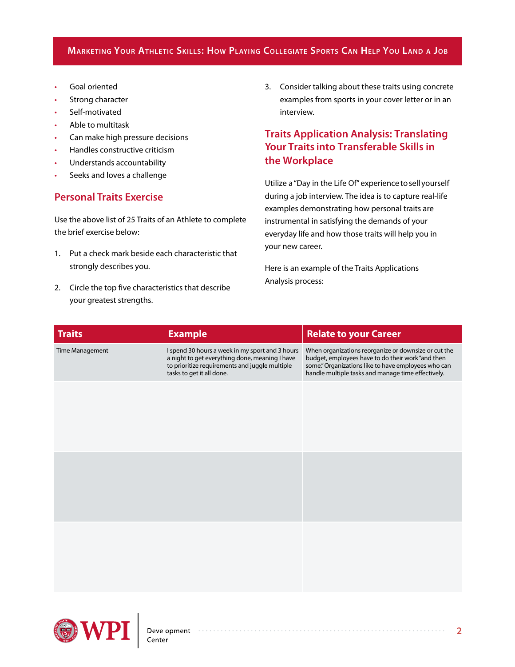- Goal oriented
- Strong character
- Self-motivated
- Able to multitask
- Can make high pressure decisions
- Handles constructive criticism
- Understands accountability
- Seeks and loves a challenge

#### **Personal Traits Exercise**

Use the above list of 25 Traits of an Athlete to complete the brief exercise below:

- 1. Put a check mark beside each characteristic that strongly describes you.
- 2. Circle the top five characteristics that describe your greatest strengths.

3. Consider talking about these traits using concrete examples from sports in your cover letter or in an interview.

### **Traits Application Analysis: Translating Your Traits into Transferable Skills in the Workplace**

Utilize a "Day in the Life Of" experience to sell yourself during a job interview. The idea is to capture real-life examples demonstrating how personal traits are instrumental in satisfying the demands of your everyday life and how those traits will help you in your new career.

Here is an example of the Traits Applications Analysis process:

| <b>Traits</b>   | <b>Example</b>                                                                                                                                                                   | <b>Relate to your Career</b>                                                                                                                                                                                           |
|-----------------|----------------------------------------------------------------------------------------------------------------------------------------------------------------------------------|------------------------------------------------------------------------------------------------------------------------------------------------------------------------------------------------------------------------|
| Time Management | I spend 30 hours a week in my sport and 3 hours<br>a night to get everything done, meaning I have<br>to prioritize requirements and juggle multiple<br>tasks to get it all done. | When organizations reorganize or downsize or cut the<br>budget, employees have to do their work "and then<br>some." Organizations like to have employees who can<br>handle multiple tasks and manage time effectively. |
|                 |                                                                                                                                                                                  |                                                                                                                                                                                                                        |
|                 |                                                                                                                                                                                  |                                                                                                                                                                                                                        |
|                 |                                                                                                                                                                                  |                                                                                                                                                                                                                        |
|                 |                                                                                                                                                                                  |                                                                                                                                                                                                                        |
|                 |                                                                                                                                                                                  |                                                                                                                                                                                                                        |
|                 |                                                                                                                                                                                  |                                                                                                                                                                                                                        |
|                 |                                                                                                                                                                                  |                                                                                                                                                                                                                        |
|                 |                                                                                                                                                                                  |                                                                                                                                                                                                                        |



Development<br>Center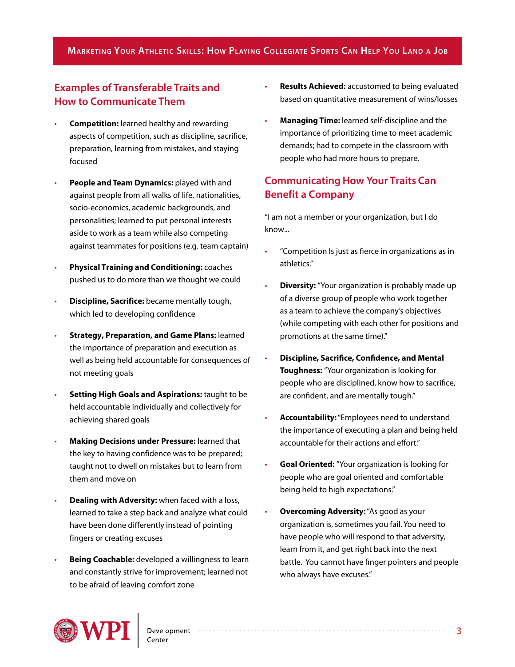### **Examples of Transferable Traits and How to Communicate Them**

- **Competition:** learned healthy and rewarding aspects of competition, such as discipline, sacrifice, preparation, learning from mistakes, and staying focused
- **People and Team Dynamics:** played with and against people from all walks of life, nationalities, socio-economics, academic backgrounds, and personalities; learned to put personal interests aside to work as a team while also competing against teammates for positions (e.g. team captain)
- **Physical Training and Conditioning:** coaches pushed us to do more than we thought we could
- **Discipline, Sacrifice:** became mentally tough, which led to developing confidence
- **Strategy, Preparation, and Game Plans:** learned the importance of preparation and execution as well as being held accountable for consequences of not meeting goals
- **Setting High Goals and Aspirations:** taught to be held accountable individually and collectively for achieving shared goals
- **Making Decisions under Pressure:** learned that the key to having confidence was to be prepared; taught not to dwell on mistakes but to learn from them and move on
- **Dealing with Adversity:** when faced with a loss, learned to take a step back and analyze what could have been done differently instead of pointing fingers or creating excuses
- **Being Coachable:** developed a willingness to learn and constantly strive for improvement; learned not to be afraid of leaving comfort zone
- **Results Achieved:** accustomed to being evaluated based on quantitative measurement of wins/losses
- **Managing Time:** learned self-discipline and the importance of prioritizing time to meet academic demands; had to compete in the classroom with people who had more hours to prepare.

### **Communicating How Your Traits Can Benefit a Company**

"I am not a member or your organization, but I do know...

- "Competition Is just as fierce in organizations as in athletics."
- **Diversity:** "Your organization is probably made up of a diverse group of people who work together as a team to achieve the company's objectives (while competing with each other for positions and promotions at the same time)."
- **Discipline, Sacrifice, Confidence, and Mental Toughness:** "Your organization is looking for people who are disciplined, know how to sacrifice, are confident, and are mentally tough."
- **Accountability:** "Employees need to understand the importance of executing a plan and being held accountable for their actions and effort"
- **Goal Oriented:** "Your organization is looking for people who are goal oriented and comfortable being held to high expectations."
- **Overcoming Adversity:** "As good as your organization is, sometimes you fail. You need to have people who will respond to that adversity, learn from it, and get right back into the next battle. You cannot have finger pointers and people who always have excuses."

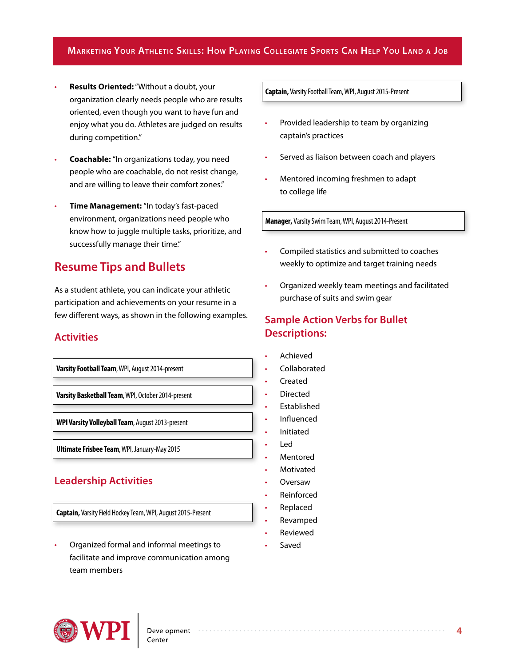- **Results Oriented:** "Without a doubt, your organization clearly needs people who are results oriented, even though you want to have fun and enjoy what you do. Athletes are judged on results during competition."
- **Coachable:** "In organizations today, you need people who are coachable, do not resist change, and are willing to leave their comfort zones."
- **Time Management:** "In today's fast-paced environment, organizations need people who know how to juggle multiple tasks, prioritize, and successfully manage their time."

# **Resume Tips and Bullets**

As a student athlete, you can indicate your athletic participation and achievements on your resume in a few different ways, as shown in the following examples.

#### **Activities**

| Varsity Football Team, WPI, August 2014-present |  |
|-------------------------------------------------|--|
|                                                 |  |

**Varsity Basketball Team**, WPI, October 2014-present

**WPI Varsity Volleyball Team**, August 2013-present

**Ultimate Frisbee Team**, WPI, January-May 2015

## **Leadership Activities**

**Captain,** Varsity Field Hockey Team, WPI, August 2015-Present

• Organized formal and informal meetings to facilitate and improve communication among team members

**Captain,** Varsity Football Team, WPI, August 2015-Present

- Provided leadership to team by organizing captain's practices
- Served as liaison between coach and players
- Mentored incoming freshmen to adapt to college life

**Manager,** Varsity Swim Team, WPI, August 2014-Present

- Compiled statistics and submitted to coaches weekly to optimize and target training needs
- Organized weekly team meetings and facilitated purchase of suits and swim gear

### **Sample Action Verbs for Bullet Descriptions:**

- Achieved
- Collaborated
- Created
- **Directed**
- **Established**
- Influenced
- **Initiated**
- Led
- **Mentored**
- **Motivated**
- Oversaw
- **Reinforced**
- **Replaced**
- Revamped
- **Reviewed**